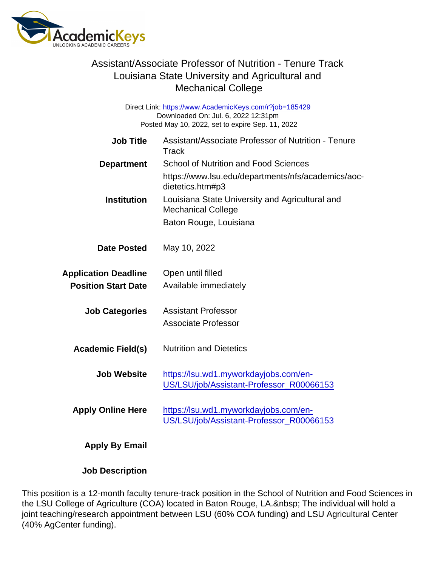Direct Link: <https://www.AcademicKeys.com/r?job=185429> Downloaded On: Jul. 6, 2022 12:31pm Posted May 10, 2022, set to expire Sep. 11, 2022

| <b>Job Title</b>            | Assistant/Associate Professor of Nutrition - Tenure<br>Track                      |
|-----------------------------|-----------------------------------------------------------------------------------|
| Department                  | <b>School of Nutrition and Food Sciences</b>                                      |
|                             | https://www.lsu.edu/departments/nfs/academics/aoc-<br>dietetics.htm#p3            |
| Institution                 | Louisiana State University and Agricultural and<br><b>Mechanical College</b>      |
|                             | Baton Rouge, Louisiana                                                            |
| Date Posted                 | May 10, 2022                                                                      |
| <b>Application Deadline</b> | Open until filled                                                                 |
| <b>Position Start Date</b>  | Available immediately                                                             |
| <b>Job Categories</b>       | <b>Assistant Professor</b><br><b>Associate Professor</b>                          |
| Academic Field(s)           | <b>Nutrition and Dietetics</b>                                                    |
| Job Website                 | https://lsu.wd1.myworkdayjobs.com/en-<br>US/LSU/job/Assistant-Professor_R00066153 |
| <b>Apply Online Here</b>    | https://lsu.wd1.myworkdayjobs.com/en-<br>US/LSU/job/Assistant-Professor_R00066153 |
| <b>Apply By Email</b>       |                                                                                   |

Job Description

This position is a 12-month faculty tenure-track position in the School of Nutrition and Food Sciences in the LSU College of Agriculture (COA) located in Baton Rouge, LA. The individual will hold a joint teaching/research appointment between LSU (60% COA funding) and LSU Agricultural Center (40% AgCenter funding).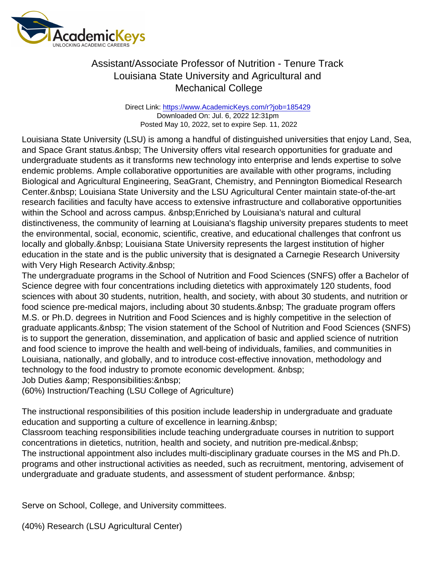Direct Link: <https://www.AcademicKeys.com/r?job=185429> Downloaded On: Jul. 6, 2022 12:31pm Posted May 10, 2022, set to expire Sep. 11, 2022

Louisiana State University (LSU) is among a handful of distinguished universities that enjoy Land, Sea, and Space Grant status. & nbsp; The University offers vital research opportunities for graduate and undergraduate students as it transforms new technology into enterprise and lends expertise to solve endemic problems. Ample collaborative opportunities are available with other programs, including Biological and Agricultural Engineering, SeaGrant, Chemistry, and Pennington Biomedical Research Center. & nbsp; Louisiana State University and the LSU Agricultural Center maintain state-of-the-art research facilities and faculty have access to extensive infrastructure and collaborative opportunities within the School and across campus. &nbsp: Enriched by Louisiana's natural and cultural distinctiveness, the community of learning at Louisiana's flagship university prepares students to meet the environmental, social, economic, scientific, creative, and educational challenges that confront us locally and globally. & nbsp; Louisiana State University represents the largest institution of higher education in the state and is the public university that is designated a Carnegie Research University with Very High Research Activity.

The undergraduate programs in the School of Nutrition and Food Sciences (SNFS) offer a Bachelor of Science degree with four concentrations including dietetics with approximately 120 students, food sciences with about 30 students, nutrition, health, and society, with about 30 students, and nutrition or food science pre-medical majors, including about 30 students. & nbsp; The graduate program offers M.S. or Ph.D. degrees in Nutrition and Food Sciences and is highly competitive in the selection of graduate applicants. & nbsp: The vision statement of the School of Nutrition and Food Sciences (SNFS) is to support the generation, dissemination, and application of basic and applied science of nutrition and food science to improve the health and well-being of individuals, families, and communities in Louisiana, nationally, and globally, and to introduce cost-effective innovation, methodology and technology to the food industry to promote economic development. & nbsp:

Job Duties & amp; Responsibilities: & nbsp;

(60%) Instruction/Teaching (LSU College of Agriculture)

The instructional responsibilities of this position include leadership in undergraduate and graduate education and supporting a culture of excellence in learning.

Classroom teaching responsibilities include teaching undergraduate courses in nutrition to support concentrations in dietetics, nutrition, health and society, and nutrition pre-medical. The instructional appointment also includes multi-disciplinary graduate courses in the MS and Ph.D. programs and other instructional activities as needed, such as recruitment, mentoring, advisement of undergraduate and graduate students, and assessment of student performance.

Serve on School, College, and University committees.

(40%) Research (LSU Agricultural Center)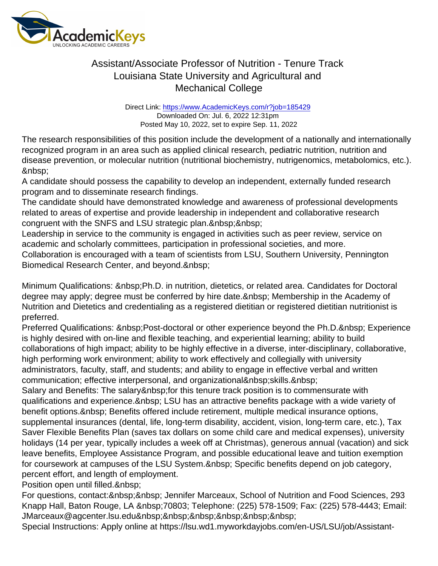Direct Link: <https://www.AcademicKeys.com/r?job=185429> Downloaded On: Jul. 6, 2022 12:31pm Posted May 10, 2022, set to expire Sep. 11, 2022

The research responsibilities of this position include the development of a nationally and internationally recognized program in an area such as applied clinical research, pediatric nutrition, nutrition and disease prevention, or molecular nutrition (nutritional biochemistry, nutrigenomics, metabolomics, etc.). 

A candidate should possess the capability to develop an independent, externally funded research program and to disseminate research findings.

The candidate should have demonstrated knowledge and awareness of professional developments related to areas of expertise and provide leadership in independent and collaborative research congruent with the SNFS and LSU strategic plan.

Leadership in service to the community is engaged in activities such as peer review, service on academic and scholarly committees, participation in professional societies, and more.

Collaboration is encouraged with a team of scientists from LSU, Southern University, Pennington Biomedical Research Center, and beyond.

Minimum Qualifications: Ph.D. in nutrition, dietetics, or related area. Candidates for Doctoral degree may apply; degree must be conferred by hire date. Membership in the Academy of Nutrition and Dietetics and credentialing as a registered dietitian or registered dietitian nutritionist is preferred.

Preferred Qualifications: Post-doctoral or other experience beyond the Ph.D. Experience is highly desired with on-line and flexible teaching, and experiential learning; ability to build collaborations of high impact; ability to be highly effective in a diverse, inter-disciplinary, collaborative, high performing work environment; ability to work effectively and collegially with university administrators, faculty, staff, and students; and ability to engage in effective verbal and written communication; effective interpersonal, and organizational skills.

Salary and Benefits: The salary & nbsp; for this tenure track position is to commensurate with qualifications and experience. LSU has an attractive benefits package with a wide variety of benefit options. & nbsp; Benefits offered include retirement, multiple medical insurance options, supplemental insurances (dental, life, long-term disability, accident, vision, long-term care, etc.), Tax Saver Flexible Benefits Plan (saves tax dollars on some child care and medical expenses), university holidays (14 per year, typically includes a week off at Christmas), generous annual (vacation) and sick leave benefits, Employee Assistance Program, and possible educational leave and tuition exemption for coursework at campuses of the LSU System. Specific benefits depend on job category, percent effort, and length of employment.

Position open until filled.

For questions, contact: & nbsp; & nbsp; Jennifer Marceaux, School of Nutrition and Food Sciences, 293 Knapp Hall, Baton Rouge, LA 70803; Telephone: (225) 578-1509; Fax: (225) 578-4443; Email: JMarceaux@agcenter.lsu.edu

Special Instructions: Apply online at https://lsu.wd1.myworkdayjobs.com/en-US/LSU/job/Assistant-